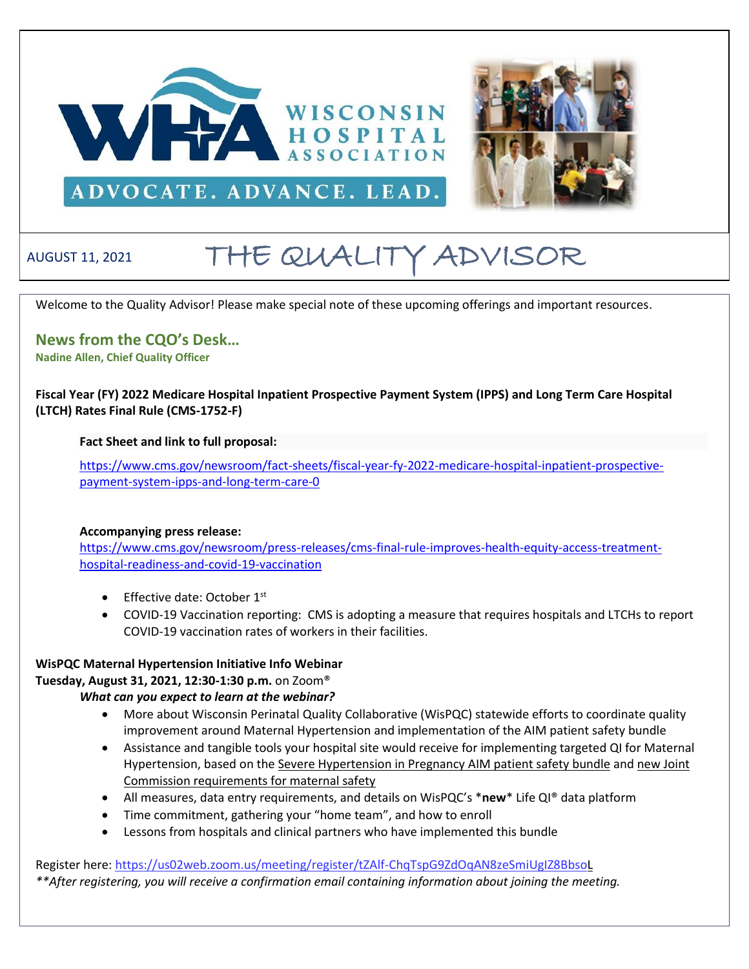



# ADVOCATE. ADVANCE. LEAD.

# AUGUST 11, 2021 THE QUALITY ADVISOR

Welcome to the Quality Advisor! Please make special note of these upcoming offerings and important resources.

**News from the CQO's Desk… Nadine Allen, Chief Quality Officer**

**Fiscal Year (FY) 2022 Medicare Hospital Inpatient Prospective Payment System (IPPS) and Long Term Care Hospital (LTCH) Rates Final Rule (CMS-1752-F)** 

**Fact Sheet and link to full proposal:**

[https://www.cms.gov/newsroom/fact-sheets/fiscal-year-fy-2022-medicare-hospital-inpatient-prospective](https://www.cms.gov/newsroom/fact-sheets/fiscal-year-fy-2022-medicare-hospital-inpatient-prospective-payment-system-ipps-and-long-term-care-0)[payment-system-ipps-and-long-term-care-0](https://www.cms.gov/newsroom/fact-sheets/fiscal-year-fy-2022-medicare-hospital-inpatient-prospective-payment-system-ipps-and-long-term-care-0)

## **Accompanying press release:**

[https://www.cms.gov/newsroom/press-releases/cms-final-rule-improves-health-equity-access-treatment](https://www.cms.gov/newsroom/press-releases/cms-final-rule-improves-health-equity-access-treatment-hospital-readiness-and-covid-19-vaccination)[hospital-readiness-and-covid-19-vaccination](https://www.cms.gov/newsroom/press-releases/cms-final-rule-improves-health-equity-access-treatment-hospital-readiness-and-covid-19-vaccination)

- Effective date: October 1st
- COVID-19 Vaccination reporting: CMS is adopting a measure that requires hospitals and LTCHs to report COVID-19 vaccination rates of workers in their facilities.

# **WisPQC Maternal Hypertension Initiative Info Webinar**

**Tuesday, August 31, 2021, 12:30-1:30 p.m.** on Zoom®

*What can you expect to learn at the webinar?* 

- More about Wisconsin Perinatal Quality Collaborative (WisPQC) statewide efforts to coordinate quality improvement around Maternal Hypertension and implementation of the AIM patient safety bundle
- Assistance and tangible tools your hospital site would receive for implementing targeted QI for Maternal Hypertension, based on the [Severe Hypertension in Pregnancy AIM patient safety bundle](https://safehealthcareforeverywoman.org/council/patient-safety-bundles/maternal-safety-bundles/severe-hypertension-in-pregnancy-aim/) and [new Joint](https://www.jointcommission.org/-/media/tjc/documents/standards/r3-reports/r3_24_maternal_safety_hap_9_6_19_final1.pdf)  [Commission requirements for maternal safety](https://www.jointcommission.org/-/media/tjc/documents/standards/r3-reports/r3_24_maternal_safety_hap_9_6_19_final1.pdf)
- All measures, data entry requirements, and details on WisPQC's \***new**\* Life QI® data platform
- Time commitment, gathering your "home team", and how to enroll
- Lessons from hospitals and clinical partners who have implemented this bundle

Register here:<https://us02web.zoom.us/meeting/register/tZAlf-ChqTspG9ZdOqAN8zeSmiUgIZ8BbsoL> *\*\*After registering, you will receive a confirmation email containing information about joining the meeting.*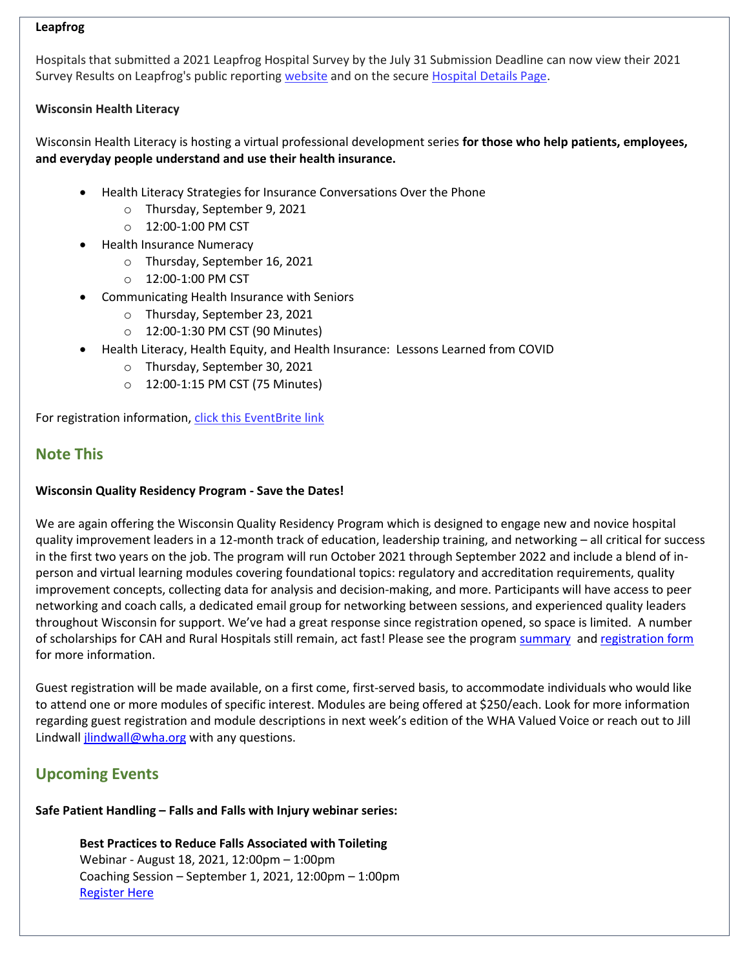#### **Leapfrog**

Hospitals that submitted a 2021 Leapfrog Hospital Survey by the July 31 Submission Deadline can now view their 2021 Survey Results on Leapfrog's public reportin[g website](https://leapfroggroup.us12.list-manage.com/track/click?u=8d3e5c715fc63c907baecbf85&id=8719adb4a5&e=72ce3e2f85) and on the secure Hospital [Details Page.](https://leapfroggroup.us12.list-manage.com/track/click?u=8d3e5c715fc63c907baecbf85&id=37fc4a29cd&e=72ce3e2f85)

# **Wisconsin Health Literacy**

Wisconsin Health Literacy is hosting a virtual professional development series **for those who help patients, employees, and everyday people understand and use their health insurance.** 

- Health Literacy Strategies for Insurance Conversations Over the Phone
	- o Thursday, September 9, 2021
	- o 12:00-1:00 PM CST
- Health Insurance Numeracy
	- o Thursday, September 16, 2021
	- o 12:00-1:00 PM CST
- Communicating Health Insurance with Seniors
	- o Thursday, September 23, 2021
	- o 12:00-1:30 PM CST (90 Minutes)
- Health Literacy, Health Equity, and Health Insurance: Lessons Learned from COVID
	- o Thursday, September 30, 2021
	- o 12:00-1:15 PM CST (75 Minutes)

For registration information, [click this EventBrite link](https://www.eventbrite.com/e/strengthen-health-insurance-literacy-tickets-157948878347)

# **Note This**

## **Wisconsin Quality Residency Program - Save the Dates!**

We are again offering the Wisconsin Quality Residency Program which is designed to engage new and novice hospital quality improvement leaders in a 12-month track of education, leadership training, and networking – all critical for success in the first two years on the job. The program will run October 2021 through September 2022 and include a blend of inperson and virtual learning modules covering foundational topics: regulatory and accreditation requirements, quality improvement concepts, collecting data for analysis and decision-making, and more. Participants will have access to peer networking and coach calls, a dedicated email group for networking between sessions, and experienced quality leaders throughout Wisconsin for support. We've had a great response since registration opened, so space is limited. A number of scholarships for CAH and Rural Hospitals still remain, act fast! Please see the program [summary](https://www.wha.org/QualityResidencyModuleSchedule) and [registration form](https://forms.office.com/Pages/ResponsePage.aspx?id=-EZlu16lpkyY7B0he0zJsDpyq15tcXFPocDSKvA5_XJUNENSUzhXM1pTNzlSMlkzTUs2STdYTkxENiQlQCN0PWcu) for more information.

Guest registration will be made available, on a first come, first-served basis, to accommodate individuals who would like to attend one or more modules of specific interest. Modules are being offered at \$250/each. Look for more information regarding guest registration and module descriptions in next week's edition of the WHA Valued Voice or reach out to Jill Lindwal[l jlindwall@wha.org](mailto:jlindwall@wha.org) with any questions.

# **Upcoming Events**

## **Safe Patient Handling – Falls and Falls with Injury webinar series:**

**Best Practices to Reduce Falls Associated with Toileting**  Webinar - August 18, 2021, 12:00pm – 1:00pm Coaching Session – September 1, 2021, 12:00pm – 1:00pm [Register Here](https://forms.office.com/r/xgGYFhH3pY)